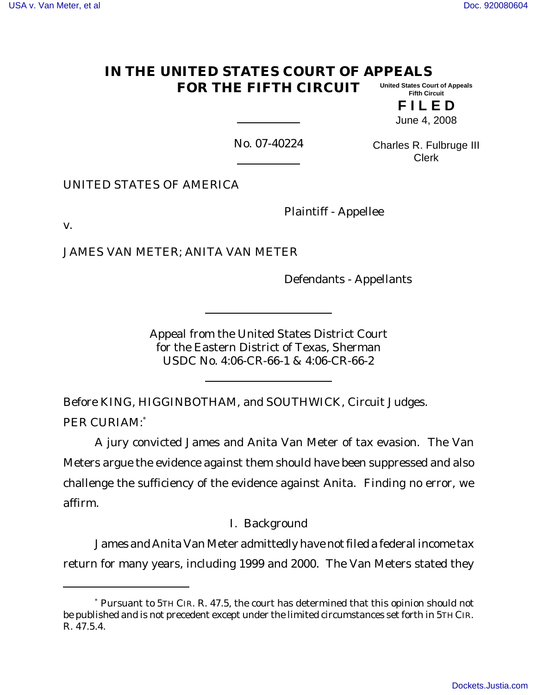#### **IN THE UNITED STATES COURT OF APPEALS FOR THE FIFTH CIRCUIT United States Court of Appeals Fifth Circuit**

**F I L E D** June 4, 2008

No. 07-40224

Charles R. Fulbruge III Clerk

UNITED STATES OF AMERICA

Plaintiff - Appellee

v.

JAMES VAN METER; ANITA VAN METER

Defendants - Appellants

Appeal from the United States District Court for the Eastern District of Texas, Sherman USDC No. 4:06-CR-66-1 & 4:06-CR-66-2

Before KING, HIGGINBOTHAM, and SOUTHWICK, Circuit Judges. PER CURIAM:\*

A jury convicted James and Anita Van Meter of tax evasion. The Van Meters argue the evidence against them should have been suppressed and also challenge the sufficiency of the evidence against Anita. Finding no error, we affirm.

I. Background

James and Anita Van Meter admittedly have not filed a federal income tax return for many years, including 1999 and 2000. The Van Meters stated they

<sup>\*</sup> Pursuant to 5TH CIR. R. 47.5, the court has determined that this opinion should not be published and is not precedent except under the limited circumstances set forth in 5TH CIR. R. 47.5.4.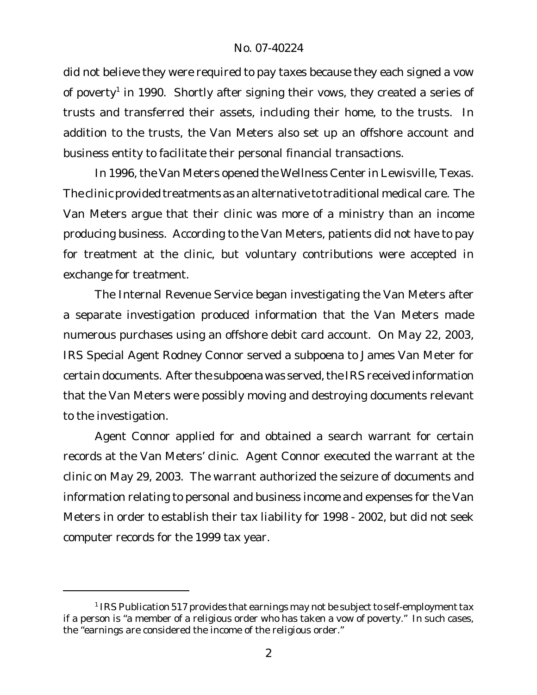did not believe they were required to pay taxes because they each signed a vow of poverty<sup>1</sup> in 1990. Shortly after signing their vows, they created a series of trusts and transferred their assets, including their home, to the trusts. In addition to the trusts, the Van Meters also set up an offshore account and business entity to facilitate their personal financial transactions.

In 1996, the Van Meters opened the Wellness Center in Lewisville, Texas. The clinic provided treatments as an alternative to traditional medical care. The Van Meters argue that their clinic was more of a ministry than an income producing business. According to the Van Meters, patients did not have to pay for treatment at the clinic, but voluntary contributions were accepted in exchange for treatment.

The Internal Revenue Service began investigating the Van Meters after a separate investigation produced information that the Van Meters made numerous purchases using an offshore debit card account. On May 22, 2003, IRS Special Agent Rodney Connor served a subpoena to James Van Meter for certain documents. After the subpoena was served, the IRS received information that the Van Meters were possibly moving and destroying documents relevant to the investigation.

Agent Connor applied for and obtained a search warrant for certain records at the Van Meters' clinic. Agent Connor executed the warrant at the clinic on May 29, 2003. The warrant authorized the seizure of documents and information relating to personal and business income and expenses for the Van Meters in order to establish their tax liability for 1998 - 2002, but did not seek computer records for the 1999 tax year.

 $^1$  IRS Publication 517 provides that earnings may not be subject to self-employment tax if a person is "a member of a religious order who has taken a vow of poverty." In such cases, the "earnings are considered the income of the religious order."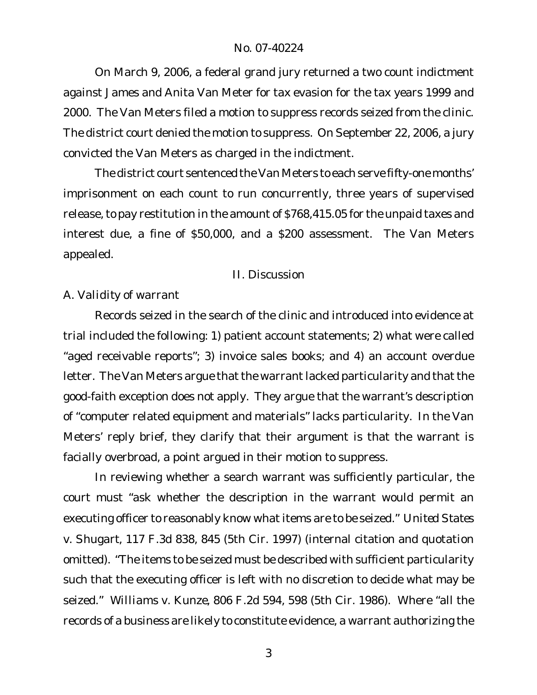On March 9, 2006, a federal grand jury returned a two count indictment against James and Anita Van Meter for tax evasion for the tax years 1999 and 2000. The Van Meters filed a motion to suppress records seized from the clinic. The district court denied the motion to suppress. On September 22, 2006, a jury convicted the Van Meters as charged in the indictment.

The district court sentenced the Van Meters to each serve fifty-one months' imprisonment on each count to run concurrently, three years of supervised release, to pay restitution in the amount of \$768,415.05 for the unpaid taxes and interest due, a fine of \$50,000, and a \$200 assessment. The Van Meters appealed.

# II. Discussion

# *A. Validity of warrant*

Records seized in the search of the clinic and introduced into evidence at trial included the following: 1) patient account statements; 2) what were called "aged receivable reports"; 3) invoice sales books; and 4) an account overdue letter. The Van Meters argue that the warrant lacked particularity and that the good-faith exception does not apply. They argue that the warrant's description of "computer related equipment and materials" lacks particularity. In the Van Meters' reply brief, they clarify that their argument is that the warrant is facially overbroad, a point argued in their motion to suppress.

In reviewing whether a search warrant was sufficiently particular, the court must "ask whether the description in the warrant would permit an executing officer to reasonably know what items are to be seized." *United States v. Shugart*, 117 F.3d 838, 845 (5th Cir. 1997) (internal citation and quotation omitted). "The items to be seized must be described with sufficient particularity such that the executing officer is left with no discretion to decide what may be seized." *Williams v. Kunze*, 806 F.2d 594, 598 (5th Cir. 1986). Where "all the records of a business are likely to constitute evidence, a warrant authorizing the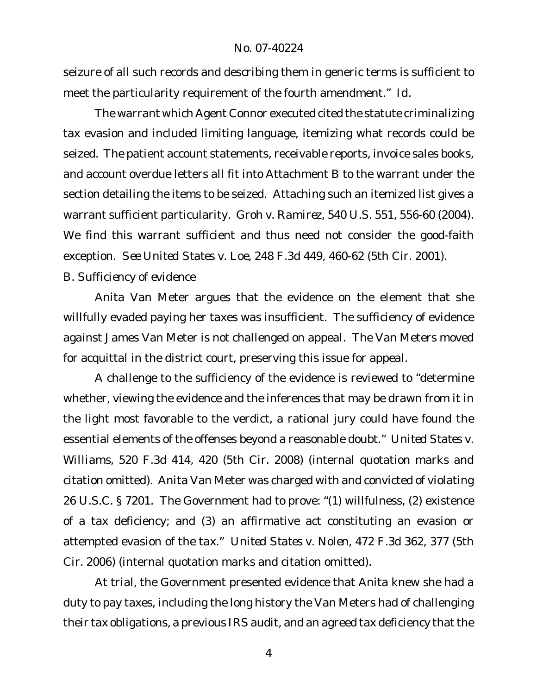seizure of all such records and describing them in generic terms is sufficient to meet the particularity requirement of the fourth amendment." *Id*.

The warrant which Agent Connor executed cited the statute criminalizing tax evasion and included limiting language, itemizing what records could be seized. The patient account statements, receivable reports, invoice sales books, and account overdue letters all fit into Attachment B to the warrant under the section detailing the items to be seized. Attaching such an itemized list gives a warrant sufficient particularity. *Groh v. Ramirez*, 540 U.S. 551, 556-60 (2004). We find this warrant sufficient and thus need not consider the good-faith exception. *See United States v. Loe*, 248 F.3d 449, 460-62 (5th Cir. 2001).

## *B. Sufficiency of evidence*

Anita Van Meter argues that the evidence on the element that she willfully evaded paying her taxes was insufficient. The sufficiency of evidence against James Van Meter is not challenged on appeal. The Van Meters moved for acquittal in the district court, preserving this issue for appeal.

A challenge to the sufficiency of the evidence is reviewed to "determine whether, viewing the evidence and the inferences that may be drawn from it in the light most favorable to the verdict, a rational jury could have found the essential elements of the offenses beyond a reasonable doubt." *United States v. Williams*, 520 F.3d 414, 420 (5th Cir. 2008) (internal quotation marks and citation omitted). Anita Van Meter was charged with and convicted of violating 26 U.S.C. § 7201. The Government had to prove: "(1) willfulness, (2) existence of a tax deficiency; and (3) an affirmative act constituting an evasion or attempted evasion of the tax." *United States v. Nolen*, 472 F.3d 362, 377 (5th Cir. 2006) (internal quotation marks and citation omitted).

At trial, the Government presented evidence that Anita knew she had a duty to pay taxes, including the long history the Van Meters had of challenging their tax obligations, a previous IRS audit, and an agreed tax deficiency that the